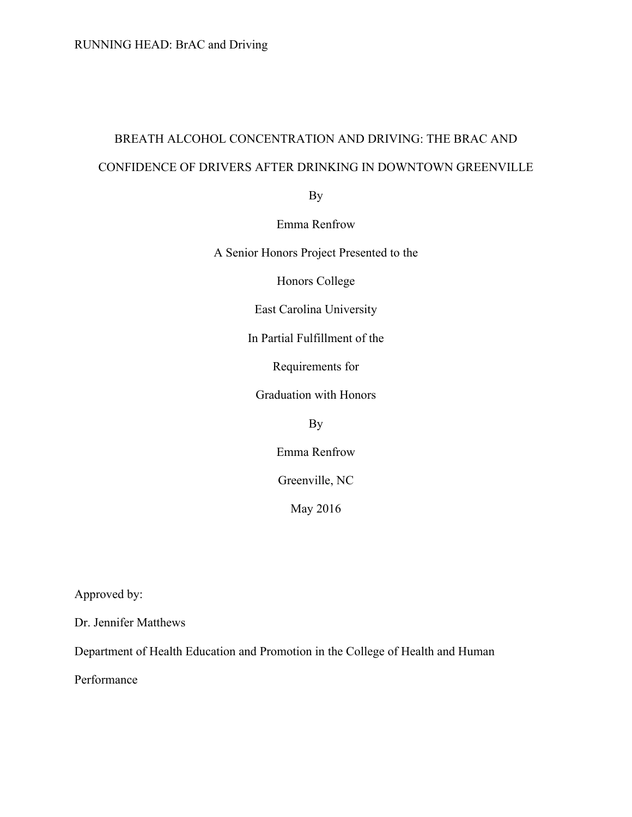# BREATH ALCOHOL CONCENTRATION AND DRIVING: THE BRAC AND CONFIDENCE OF DRIVERS AFTER DRINKING IN DOWNTOWN GREENVILLE

By

Emma Renfrow

A Senior Honors Project Presented to the

Honors College

East Carolina University

In Partial Fulfillment of the

Requirements for

Graduation with Honors

By

Emma Renfrow

Greenville, NC

May 2016

Approved by:

Dr. Jennifer Matthews

Department of Health Education and Promotion in the College of Health and Human

Performance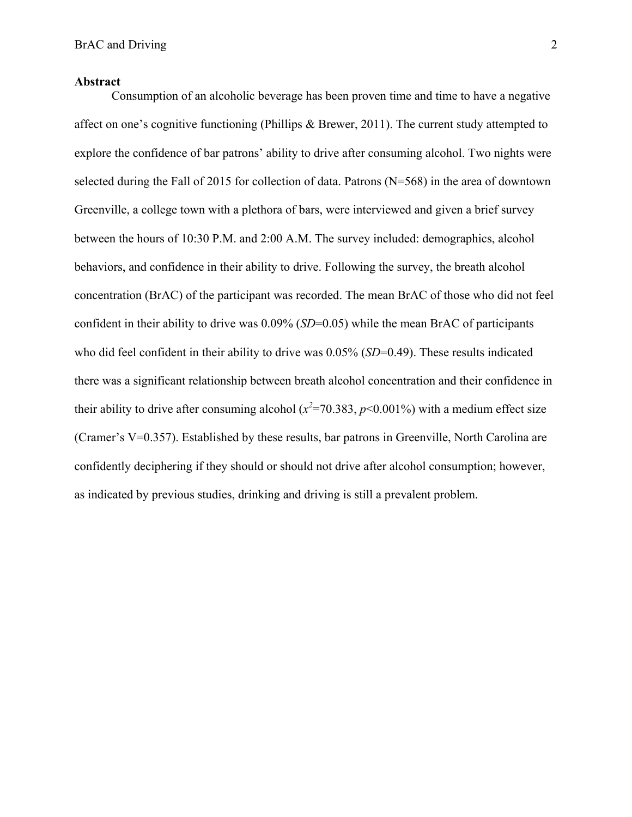## **Abstract**

Consumption of an alcoholic beverage has been proven time and time to have a negative affect on one's cognitive functioning (Phillips & Brewer, 2011). The current study attempted to explore the confidence of bar patrons' ability to drive after consuming alcohol. Two nights were selected during the Fall of 2015 for collection of data. Patrons (N=568) in the area of downtown Greenville, a college town with a plethora of bars, were interviewed and given a brief survey between the hours of 10:30 P.M. and 2:00 A.M. The survey included: demographics, alcohol behaviors, and confidence in their ability to drive. Following the survey, the breath alcohol concentration (BrAC) of the participant was recorded. The mean BrAC of those who did not feel confident in their ability to drive was 0.09% (*SD*=0.05) while the mean BrAC of participants who did feel confident in their ability to drive was 0.05% (*SD*=0.49). These results indicated there was a significant relationship between breath alcohol concentration and their confidence in their ability to drive after consuming alcohol ( $x^2$ =70.383,  $p$ <0.001%) with a medium effect size (Cramer's V=0.357). Established by these results, bar patrons in Greenville, North Carolina are confidently deciphering if they should or should not drive after alcohol consumption; however, as indicated by previous studies, drinking and driving is still a prevalent problem.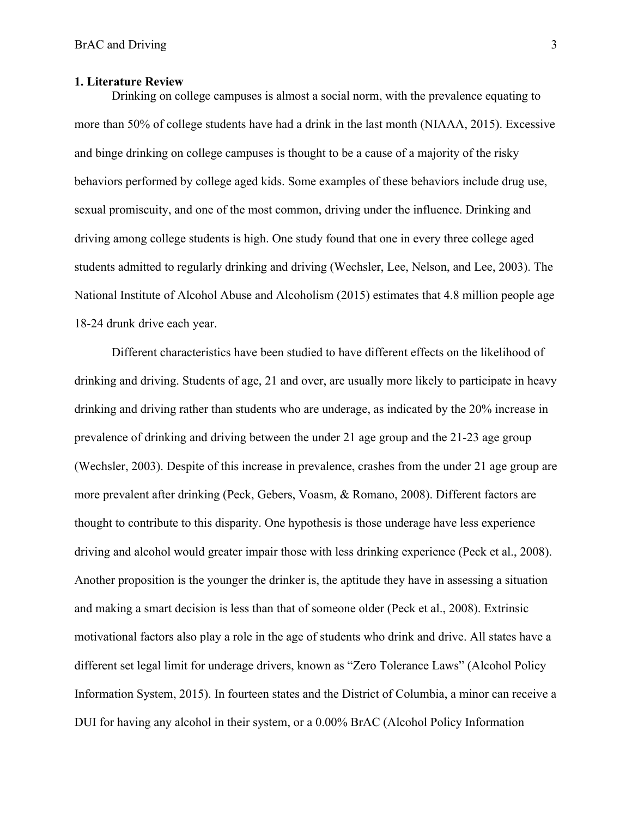## **1. Literature Review**

Drinking on college campuses is almost a social norm, with the prevalence equating to more than 50% of college students have had a drink in the last month (NIAAA, 2015). Excessive and binge drinking on college campuses is thought to be a cause of a majority of the risky behaviors performed by college aged kids. Some examples of these behaviors include drug use, sexual promiscuity, and one of the most common, driving under the influence. Drinking and driving among college students is high. One study found that one in every three college aged students admitted to regularly drinking and driving (Wechsler, Lee, Nelson, and Lee, 2003). The National Institute of Alcohol Abuse and Alcoholism (2015) estimates that 4.8 million people age 18-24 drunk drive each year.

Different characteristics have been studied to have different effects on the likelihood of drinking and driving. Students of age, 21 and over, are usually more likely to participate in heavy drinking and driving rather than students who are underage, as indicated by the 20% increase in prevalence of drinking and driving between the under 21 age group and the 21-23 age group (Wechsler, 2003). Despite of this increase in prevalence, crashes from the under 21 age group are more prevalent after drinking (Peck, Gebers, Voasm, & Romano, 2008). Different factors are thought to contribute to this disparity. One hypothesis is those underage have less experience driving and alcohol would greater impair those with less drinking experience (Peck et al., 2008). Another proposition is the younger the drinker is, the aptitude they have in assessing a situation and making a smart decision is less than that of someone older (Peck et al., 2008). Extrinsic motivational factors also play a role in the age of students who drink and drive. All states have a different set legal limit for underage drivers, known as "Zero Tolerance Laws" (Alcohol Policy Information System, 2015). In fourteen states and the District of Columbia, a minor can receive a DUI for having any alcohol in their system, or a 0.00% BrAC (Alcohol Policy Information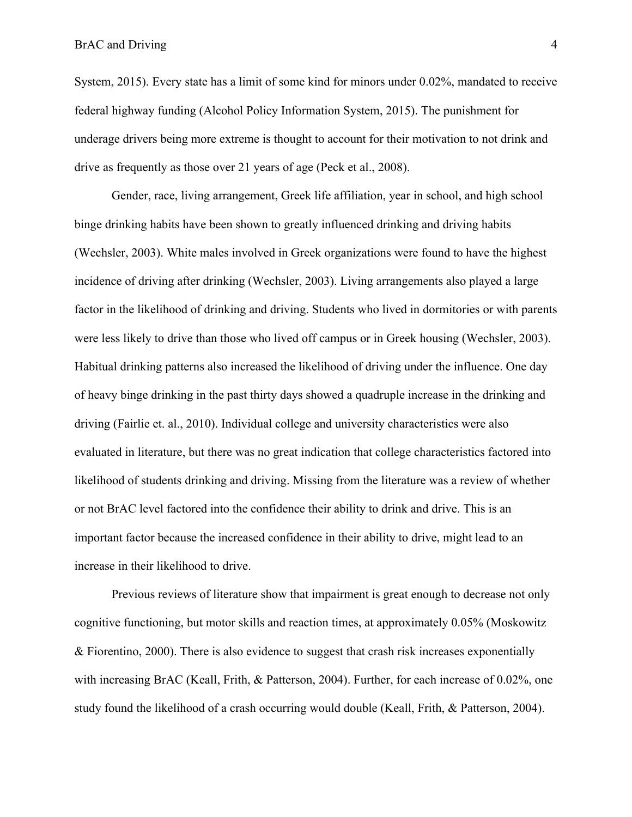System, 2015). Every state has a limit of some kind for minors under 0.02%, mandated to receive federal highway funding (Alcohol Policy Information System, 2015). The punishment for underage drivers being more extreme is thought to account for their motivation to not drink and drive as frequently as those over 21 years of age (Peck et al., 2008).

Gender, race, living arrangement, Greek life affiliation, year in school, and high school binge drinking habits have been shown to greatly influenced drinking and driving habits (Wechsler, 2003). White males involved in Greek organizations were found to have the highest incidence of driving after drinking (Wechsler, 2003). Living arrangements also played a large factor in the likelihood of drinking and driving. Students who lived in dormitories or with parents were less likely to drive than those who lived off campus or in Greek housing (Wechsler, 2003). Habitual drinking patterns also increased the likelihood of driving under the influence. One day of heavy binge drinking in the past thirty days showed a quadruple increase in the drinking and driving (Fairlie et. al., 2010). Individual college and university characteristics were also evaluated in literature, but there was no great indication that college characteristics factored into likelihood of students drinking and driving. Missing from the literature was a review of whether or not BrAC level factored into the confidence their ability to drink and drive. This is an important factor because the increased confidence in their ability to drive, might lead to an increase in their likelihood to drive.

Previous reviews of literature show that impairment is great enough to decrease not only cognitive functioning, but motor skills and reaction times, at approximately 0.05% (Moskowitz & Fiorentino, 2000). There is also evidence to suggest that crash risk increases exponentially with increasing BrAC (Keall, Frith, & Patterson, 2004). Further, for each increase of 0.02%, one study found the likelihood of a crash occurring would double (Keall, Frith, & Patterson, 2004).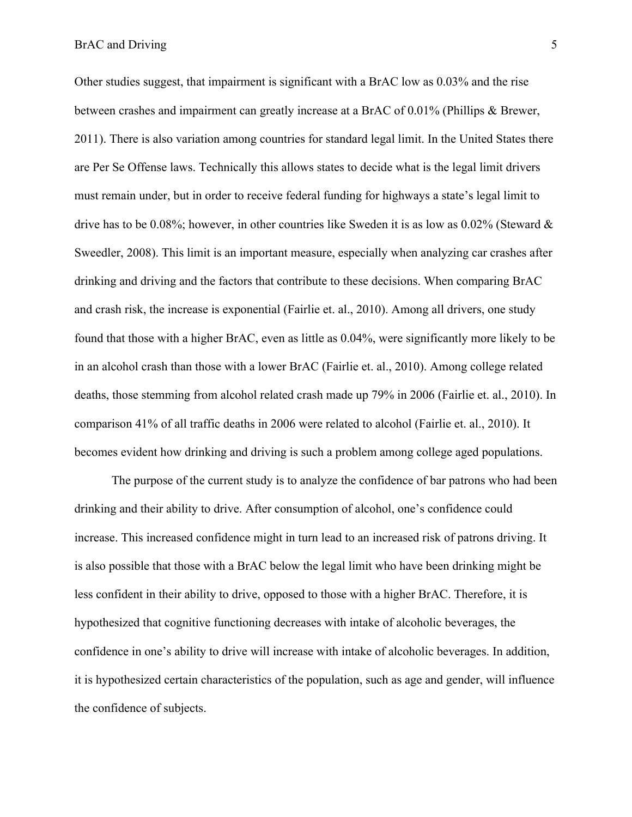#### BrAC and Driving 5

Other studies suggest, that impairment is significant with a BrAC low as 0.03% and the rise between crashes and impairment can greatly increase at a BrAC of 0.01% (Phillips & Brewer, 2011). There is also variation among countries for standard legal limit. In the United States there are Per Se Offense laws. Technically this allows states to decide what is the legal limit drivers must remain under, but in order to receive federal funding for highways a state's legal limit to drive has to be 0.08%; however, in other countries like Sweden it is as low as  $0.02\%$  (Steward  $\&$ Sweedler, 2008). This limit is an important measure, especially when analyzing car crashes after drinking and driving and the factors that contribute to these decisions. When comparing BrAC and crash risk, the increase is exponential (Fairlie et. al., 2010). Among all drivers, one study found that those with a higher BrAC, even as little as 0.04%, were significantly more likely to be in an alcohol crash than those with a lower BrAC (Fairlie et. al., 2010). Among college related deaths, those stemming from alcohol related crash made up 79% in 2006 (Fairlie et. al., 2010). In comparison 41% of all traffic deaths in 2006 were related to alcohol (Fairlie et. al., 2010). It becomes evident how drinking and driving is such a problem among college aged populations.

The purpose of the current study is to analyze the confidence of bar patrons who had been drinking and their ability to drive. After consumption of alcohol, one's confidence could increase. This increased confidence might in turn lead to an increased risk of patrons driving. It is also possible that those with a BrAC below the legal limit who have been drinking might be less confident in their ability to drive, opposed to those with a higher BrAC. Therefore, it is hypothesized that cognitive functioning decreases with intake of alcoholic beverages, the confidence in one's ability to drive will increase with intake of alcoholic beverages. In addition, it is hypothesized certain characteristics of the population, such as age and gender, will influence the confidence of subjects.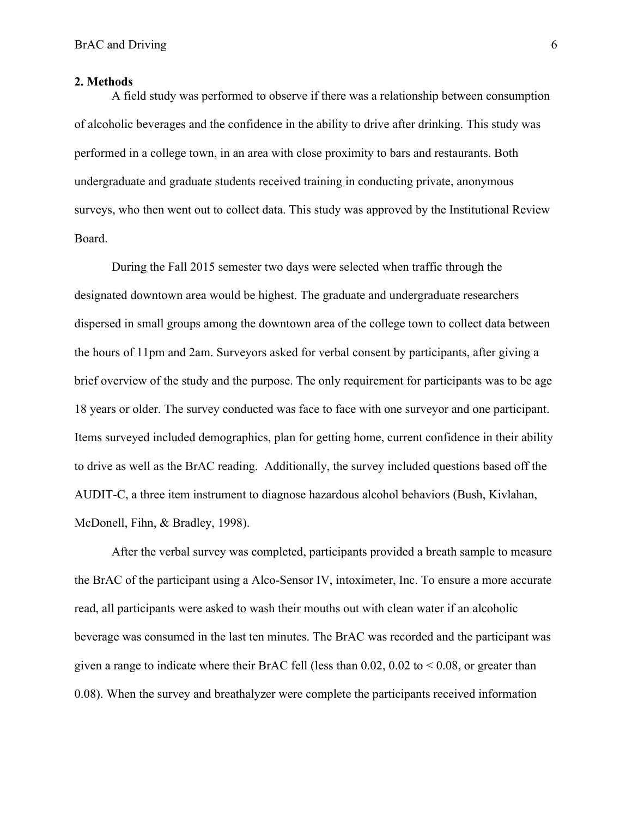#### **2. Methods**

A field study was performed to observe if there was a relationship between consumption of alcoholic beverages and the confidence in the ability to drive after drinking. This study was performed in a college town, in an area with close proximity to bars and restaurants. Both undergraduate and graduate students received training in conducting private, anonymous surveys, who then went out to collect data. This study was approved by the Institutional Review Board.

During the Fall 2015 semester two days were selected when traffic through the designated downtown area would be highest. The graduate and undergraduate researchers dispersed in small groups among the downtown area of the college town to collect data between the hours of 11pm and 2am. Surveyors asked for verbal consent by participants, after giving a brief overview of the study and the purpose. The only requirement for participants was to be age 18 years or older. The survey conducted was face to face with one surveyor and one participant. Items surveyed included demographics, plan for getting home, current confidence in their ability to drive as well as the BrAC reading. Additionally, the survey included questions based off the AUDIT-C, a three item instrument to diagnose hazardous alcohol behaviors (Bush, Kivlahan, McDonell, Fihn, & Bradley, 1998).

After the verbal survey was completed, participants provided a breath sample to measure the BrAC of the participant using a Alco-Sensor IV, intoximeter, Inc. To ensure a more accurate read, all participants were asked to wash their mouths out with clean water if an alcoholic beverage was consumed in the last ten minutes. The BrAC was recorded and the participant was given a range to indicate where their BrAC fell (less than  $0.02$ ,  $0.02$  to  $\leq 0.08$ , or greater than 0.08). When the survey and breathalyzer were complete the participants received information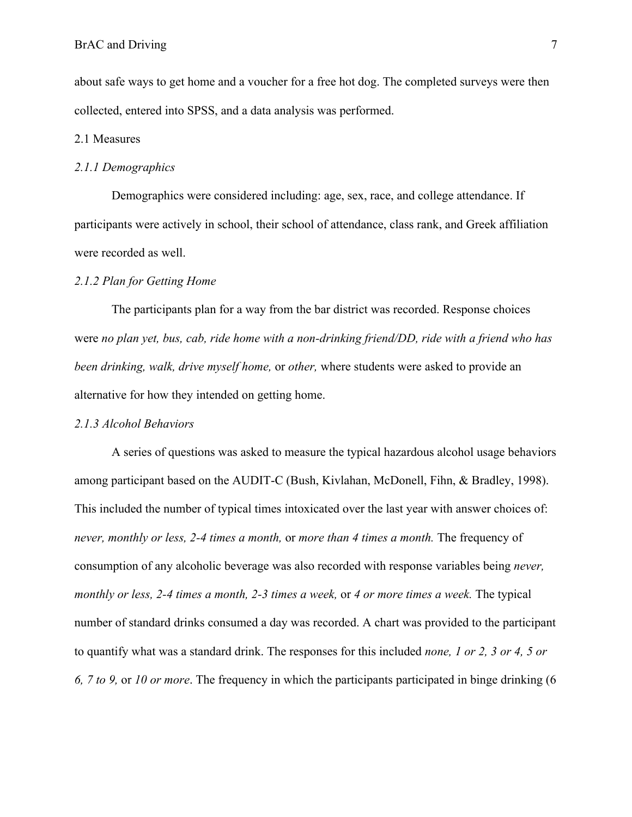about safe ways to get home and a voucher for a free hot dog. The completed surveys were then collected, entered into SPSS, and a data analysis was performed.

## 2.1 Measures

#### *2.1.1 Demographics*

Demographics were considered including: age, sex, race, and college attendance. If participants were actively in school, their school of attendance, class rank, and Greek affiliation were recorded as well.

#### *2.1.2 Plan for Getting Home*

The participants plan for a way from the bar district was recorded. Response choices were *no plan yet, bus, cab, ride home with a non-drinking friend/DD, ride with a friend who has been drinking, walk, drive myself home,* or *other,* where students were asked to provide an alternative for how they intended on getting home.

#### *2.1.3 Alcohol Behaviors*

A series of questions was asked to measure the typical hazardous alcohol usage behaviors among participant based on the AUDIT-C (Bush, Kivlahan, McDonell, Fihn, & Bradley, 1998). This included the number of typical times intoxicated over the last year with answer choices of: *never, monthly or less, 2-4 times a month,* or *more than 4 times a month.* The frequency of consumption of any alcoholic beverage was also recorded with response variables being *never, monthly or less, 2-4 times a month, 2-3 times a week,* or *4 or more times a week.* The typical number of standard drinks consumed a day was recorded. A chart was provided to the participant to quantify what was a standard drink. The responses for this included *none, 1 or 2, 3 or 4, 5 or 6, 7 to 9,* or *10 or more*. The frequency in which the participants participated in binge drinking (6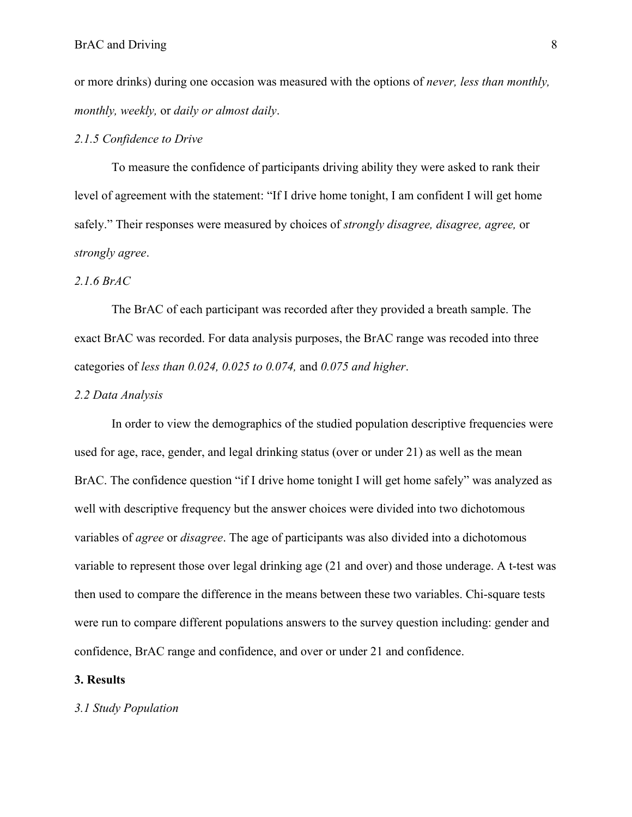or more drinks) during one occasion was measured with the options of *never, less than monthly, monthly, weekly,* or *daily or almost daily*.

## *2.1.5 Confidence to Drive*

To measure the confidence of participants driving ability they were asked to rank their level of agreement with the statement: "If I drive home tonight, I am confident I will get home safely." Their responses were measured by choices of *strongly disagree, disagree, agree,* or *strongly agree*.

# *2.1.6 BrAC*

The BrAC of each participant was recorded after they provided a breath sample. The exact BrAC was recorded. For data analysis purposes, the BrAC range was recoded into three categories of *less than 0.024, 0.025 to 0.074,* and *0.075 and higher*.

#### *2.2 Data Analysis*

In order to view the demographics of the studied population descriptive frequencies were used for age, race, gender, and legal drinking status (over or under 21) as well as the mean BrAC. The confidence question "if I drive home tonight I will get home safely" was analyzed as well with descriptive frequency but the answer choices were divided into two dichotomous variables of *agree* or *disagree*. The age of participants was also divided into a dichotomous variable to represent those over legal drinking age (21 and over) and those underage. A t-test was then used to compare the difference in the means between these two variables. Chi-square tests were run to compare different populations answers to the survey question including: gender and confidence, BrAC range and confidence, and over or under 21 and confidence.

#### **3. Results**

# *3.1 Study Population*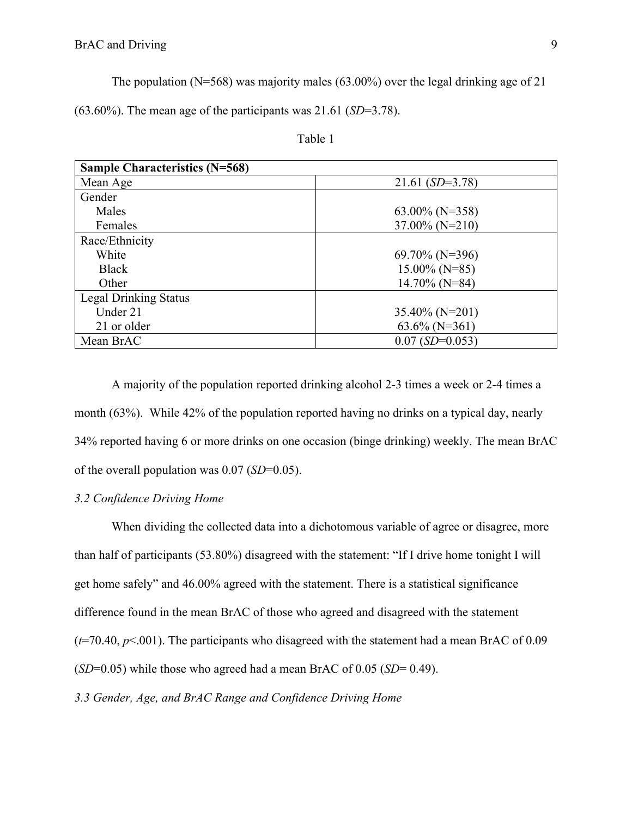The population ( $N=568$ ) was majority males (63.00%) over the legal drinking age of 21

(63.60%). The mean age of the participants was 21.61 (*SD*=3.78).

| <b>Sample Characteristics (N=568)</b> |                   |
|---------------------------------------|-------------------|
| Mean Age                              | $21.61(SD=3.78)$  |
| Gender                                |                   |
| Males                                 | $63.00\%$ (N=358) |
| Females                               | $37.00\%$ (N=210) |
| Race/Ethnicity                        |                   |
| White                                 | $69.70\%$ (N=396) |
| <b>Black</b>                          | $15.00\%$ (N=85)  |
| Other                                 | $14.70\%$ (N=84)  |
| <b>Legal Drinking Status</b>          |                   |
| Under 21                              | $35.40\%$ (N=201) |
| 21 or older                           | $63.6\%$ (N=361)  |
| Mean BrAC                             | $0.07$ (SD=0.053) |

Table 1

A majority of the population reported drinking alcohol 2-3 times a week or 2-4 times a month (63%). While 42% of the population reported having no drinks on a typical day, nearly 34% reported having 6 or more drinks on one occasion (binge drinking) weekly. The mean BrAC of the overall population was 0.07 (*SD*=0.05).

# *3.2 Confidence Driving Home*

When dividing the collected data into a dichotomous variable of agree or disagree, more than half of participants (53.80%) disagreed with the statement: "If I drive home tonight I will get home safely" and 46.00% agreed with the statement. There is a statistical significance difference found in the mean BrAC of those who agreed and disagreed with the statement  $(t=70.40, p<.001)$ . The participants who disagreed with the statement had a mean BrAC of 0.09 (*SD*=0.05) while those who agreed had a mean BrAC of 0.05 (*SD*= 0.49).

*3.3 Gender, Age, and BrAC Range and Confidence Driving Home*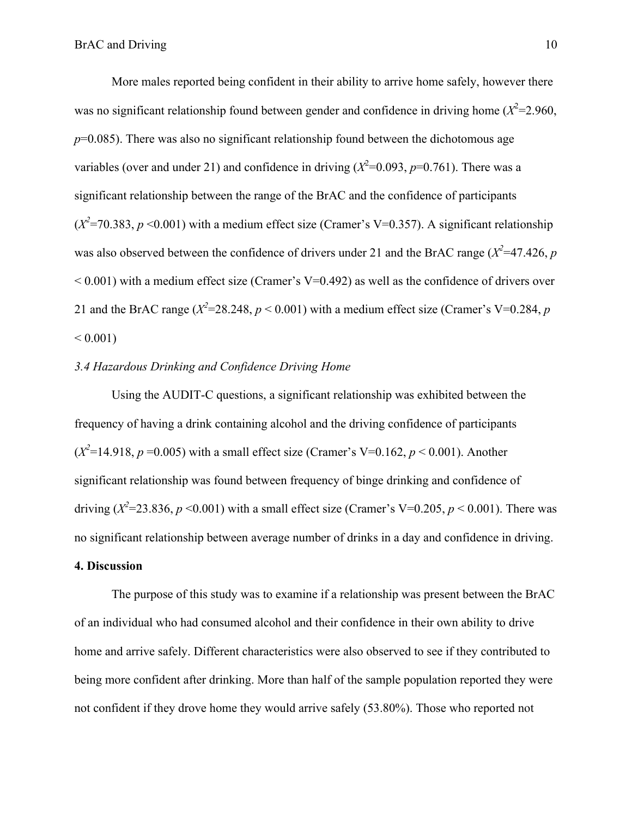More males reported being confident in their ability to arrive home safely, however there was no significant relationship found between gender and confidence in driving home  $(X^2=2.960,$  $p=0.085$ ). There was also no significant relationship found between the dichotomous age variables (over and under 21) and confidence in driving  $(X^2=0.093, p=0.761)$ . There was a significant relationship between the range of the BrAC and the confidence of participants  $(X^2=70.383, p \le 0.001)$  with a medium effect size (Cramer's V=0.357). A significant relationship was also observed between the confidence of drivers under 21 and the BrAC range  $(X^2=47.426, p$  $< 0.001$ ) with a medium effect size (Cramer's V=0.492) as well as the confidence of drivers over 21 and the BrAC range ( $X^2$ =28.248,  $p$  < 0.001) with a medium effect size (Cramer's V=0.284,  $p$ )  $< 0.001$ )

# *3.4 Hazardous Drinking and Confidence Driving Home*

Using the AUDIT-C questions, a significant relationship was exhibited between the frequency of having a drink containing alcohol and the driving confidence of participants  $(X^2=14.918, p=0.005)$  with a small effect size (Cramer's V=0.162,  $p < 0.001$ ). Another significant relationship was found between frequency of binge drinking and confidence of driving ( $X^2$ =23.836,  $p$  <0.001) with a small effect size (Cramer's V=0.205,  $p$  < 0.001). There was no significant relationship between average number of drinks in a day and confidence in driving.

## **4. Discussion**

The purpose of this study was to examine if a relationship was present between the BrAC of an individual who had consumed alcohol and their confidence in their own ability to drive home and arrive safely. Different characteristics were also observed to see if they contributed to being more confident after drinking. More than half of the sample population reported they were not confident if they drove home they would arrive safely (53.80%). Those who reported not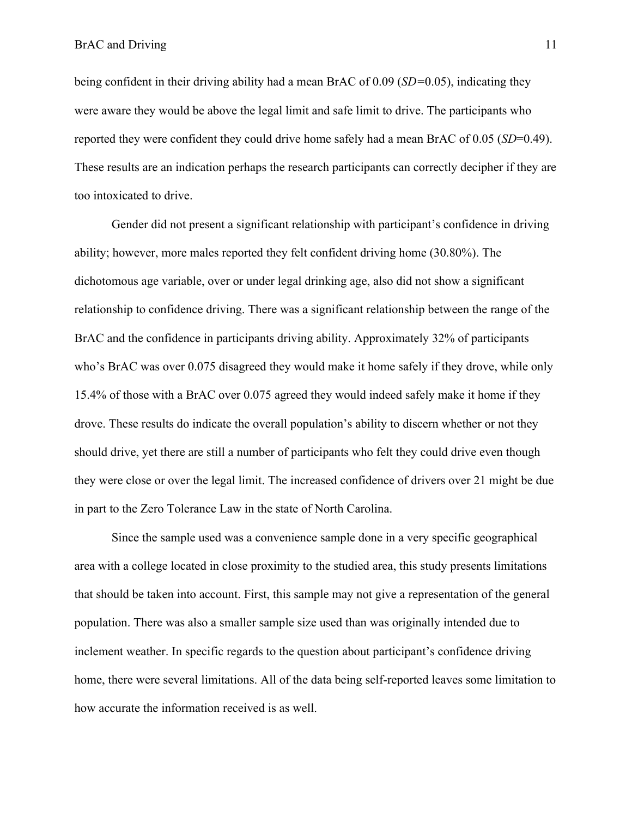being confident in their driving ability had a mean BrAC of 0.09 (*SD=*0.05), indicating they were aware they would be above the legal limit and safe limit to drive. The participants who reported they were confident they could drive home safely had a mean BrAC of 0.05 (*SD*=0.49). These results are an indication perhaps the research participants can correctly decipher if they are too intoxicated to drive.

Gender did not present a significant relationship with participant's confidence in driving ability; however, more males reported they felt confident driving home (30.80%). The dichotomous age variable, over or under legal drinking age, also did not show a significant relationship to confidence driving. There was a significant relationship between the range of the BrAC and the confidence in participants driving ability. Approximately 32% of participants who's BrAC was over 0.075 disagreed they would make it home safely if they drove, while only 15.4% of those with a BrAC over 0.075 agreed they would indeed safely make it home if they drove. These results do indicate the overall population's ability to discern whether or not they should drive, yet there are still a number of participants who felt they could drive even though they were close or over the legal limit. The increased confidence of drivers over 21 might be due in part to the Zero Tolerance Law in the state of North Carolina.

Since the sample used was a convenience sample done in a very specific geographical area with a college located in close proximity to the studied area, this study presents limitations that should be taken into account. First, this sample may not give a representation of the general population. There was also a smaller sample size used than was originally intended due to inclement weather. In specific regards to the question about participant's confidence driving home, there were several limitations. All of the data being self-reported leaves some limitation to how accurate the information received is as well.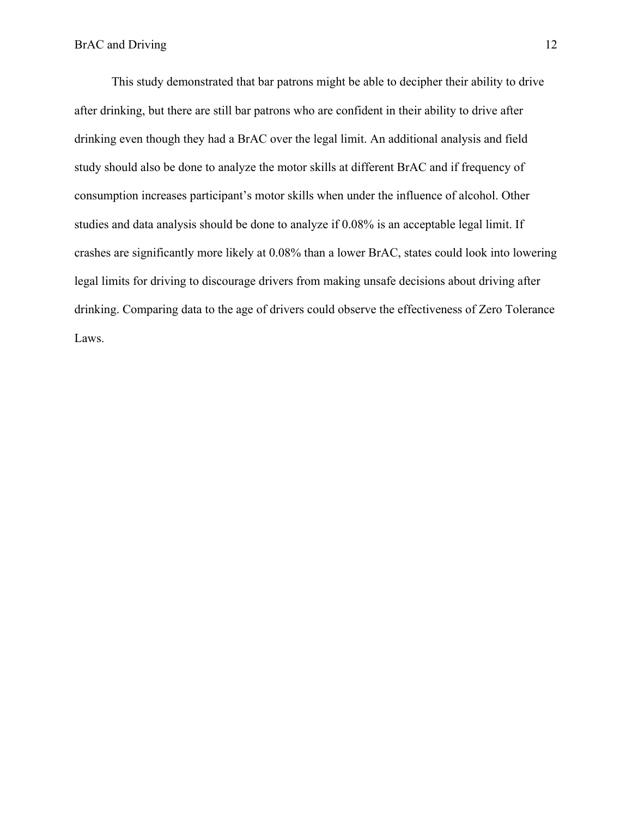This study demonstrated that bar patrons might be able to decipher their ability to drive after drinking, but there are still bar patrons who are confident in their ability to drive after drinking even though they had a BrAC over the legal limit. An additional analysis and field study should also be done to analyze the motor skills at different BrAC and if frequency of consumption increases participant's motor skills when under the influence of alcohol. Other studies and data analysis should be done to analyze if 0.08% is an acceptable legal limit. If crashes are significantly more likely at 0.08% than a lower BrAC, states could look into lowering legal limits for driving to discourage drivers from making unsafe decisions about driving after drinking. Comparing data to the age of drivers could observe the effectiveness of Zero Tolerance Laws.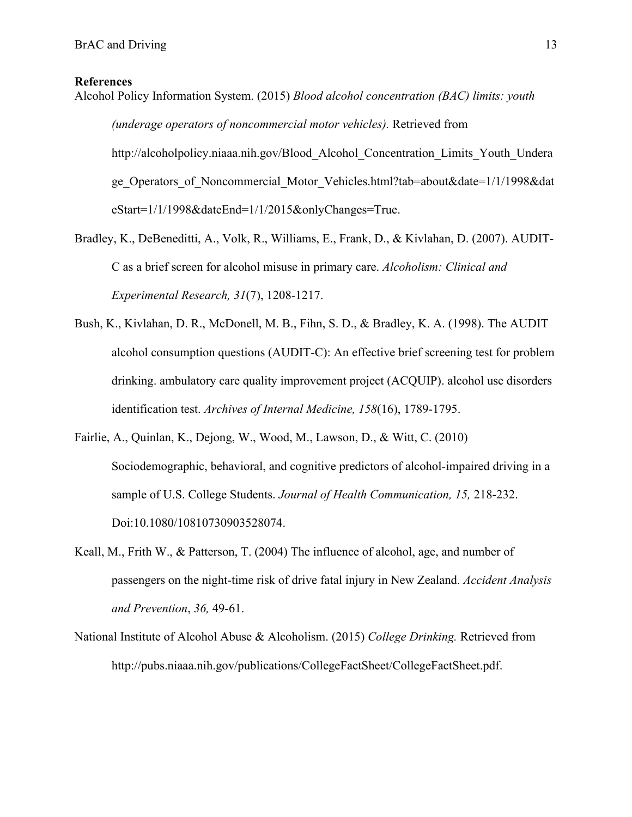# **References**

Alcohol Policy Information System. (2015) *Blood alcohol concentration (BAC) limits: youth (underage operators of noncommercial motor vehicles).* Retrieved from http://alcoholpolicy.niaaa.nih.gov/Blood\_Alcohol\_Concentration\_Limits\_Youth\_Undera ge Operators of Noncommercial Motor Vehicles.html?tab=about&date=1/1/1998&dat eStart=1/1/1998&dateEnd=1/1/2015&onlyChanges=True.

- Bradley, K., DeBeneditti, A., Volk, R., Williams, E., Frank, D., & Kivlahan, D. (2007). AUDIT-C as a brief screen for alcohol misuse in primary care. *Alcoholism: Clinical and Experimental Research, 31*(7), 1208-1217.
- Bush, K., Kivlahan, D. R., McDonell, M. B., Fihn, S. D., & Bradley, K. A. (1998). The AUDIT alcohol consumption questions (AUDIT-C): An effective brief screening test for problem drinking. ambulatory care quality improvement project (ACQUIP). alcohol use disorders identification test. *Archives of Internal Medicine, 158*(16), 1789-1795.
- Fairlie, A., Quinlan, K., Dejong, W., Wood, M., Lawson, D., & Witt, C. (2010) Sociodemographic, behavioral, and cognitive predictors of alcohol-impaired driving in a sample of U.S. College Students. *Journal of Health Communication, 15,* 218-232. Doi:10.1080/10810730903528074.
- Keall, M., Frith W., & Patterson, T. (2004) The influence of alcohol, age, and number of passengers on the night-time risk of drive fatal injury in New Zealand. *Accident Analysis and Prevention*, *36,* 49-61.
- National Institute of Alcohol Abuse & Alcoholism. (2015) *College Drinking.* Retrieved from http://pubs.niaaa.nih.gov/publications/CollegeFactSheet/CollegeFactSheet.pdf.